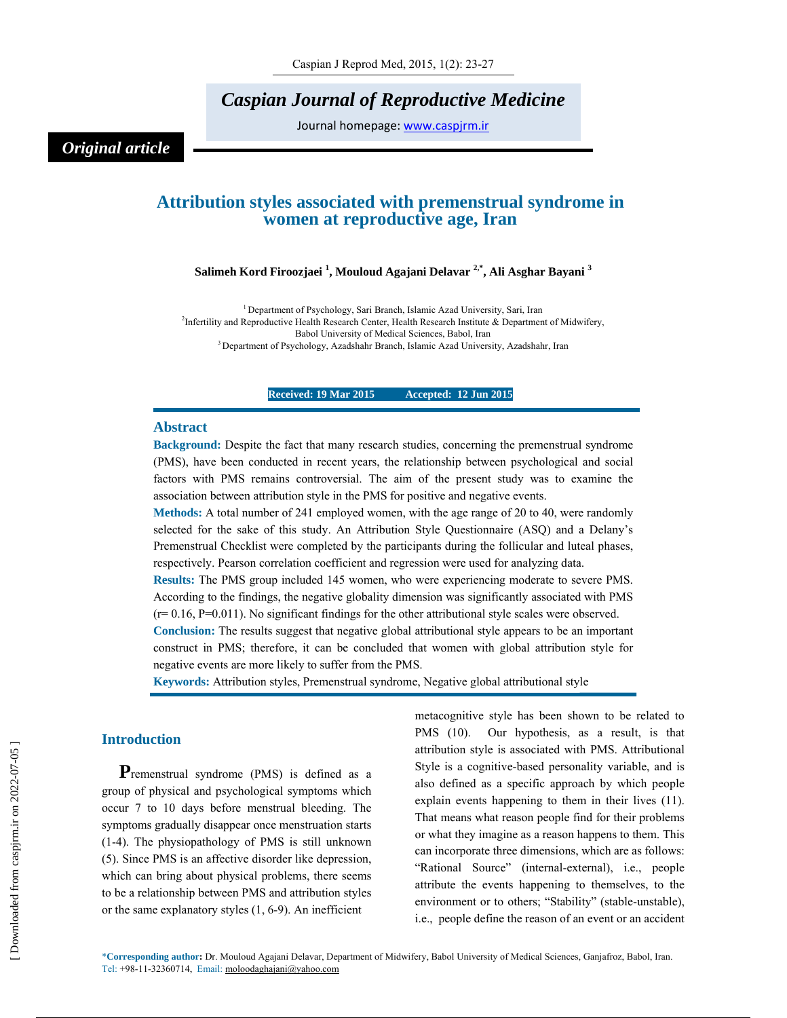*Caspian Journal of Reproductive Medicine* 

Journal homepage: www.caspjrm.ir

# *Original article*

# **Attribution styles associated with premenstrual syndrome in women at reproductive age, Iran**

# **Salimeh Kord Firoozjaei 1 , Mouloud Agajani Delavar 2,\*, Ali Asghar Bayani 3**

<sup>1</sup> Department of Psychology, Sari Branch, Islamic Azad University, Sari, Iran <sup>2</sup>Infertility and Reproductive Health Research Center, Health Research Institute & Department of Midwifery, Babol University of Medical Sciences, Babol, Iran<br><sup>3</sup> Department of Psychology, Azadshahr Branch, Islamic Azad University, Azadshahr, Iran

**Received: 19 Mar 2015 Accepted: 12 Jun 2015** 

### **Abstract**

**Background:** Despite the fact that many research studies, concerning the premenstrual syndrome (PMS), have been conducted in recent years, the relationship between psychological and social factors with PMS remains controversial. The aim of the present study was to examine the association between attribution style in the PMS for positive and negative events.

**Methods:** A total number of 241 employed women, with the age range of 20 to 40, were randomly selected for the sake of this study. An Attribution Style Questionnaire (ASQ) and a Delany's Premenstrual Checklist were completed by the participants during the follicular and luteal phases, respectively. Pearson correlation coefficient and regression were used for analyzing data.

**Results:** The PMS group included 145 women, who were experiencing moderate to severe PMS. According to the findings, the negative globality dimension was significantly associated with PMS  $(r= 0.16, P=0.011)$ . No significant findings for the other attributional style scales were observed.

**Conclusion:** The results suggest that negative global attributional style appears to be an important construct in PMS; therefore, it can be concluded that women with global attribution style for negative events are more likely to suffer from the PMS.

**Keywords:** Attribution styles, Premenstrual syndrome, Negative global attributional style

# **Introduction**

**P**remenstrual syndrome (PMS) is defined as a group of physical and psychological symptoms which occur 7 to 10 days before menstrual bleeding. The symptoms gradually disappear once menstruation starts (1-4). The physiopathology of PMS is still unknown (5). Since PMS is an affective disorder like depression, which can bring about physical problems, there seems to be a relationship between PMS and attribution styles or the same explanatory styles (1, 6-9). An inefficient

metacognitive style has been shown to be related to PMS (10). Our hypothesis, as a result, is that attribution style is associated with PMS. Attributional Style is a cognitive-based personality variable, and is also defined as a specific approach by which people explain events happening to them in their lives (11). That means what reason people find for their problems or what they imagine as a reason happens to them. This can incorporate three dimensions, which are as follows: "Rational Source" (internal-external), i.e., people attribute the events happening to themselves, to the environment or to others; "Stability" (stable-unstable), i.e., people define the reason of an event or an accident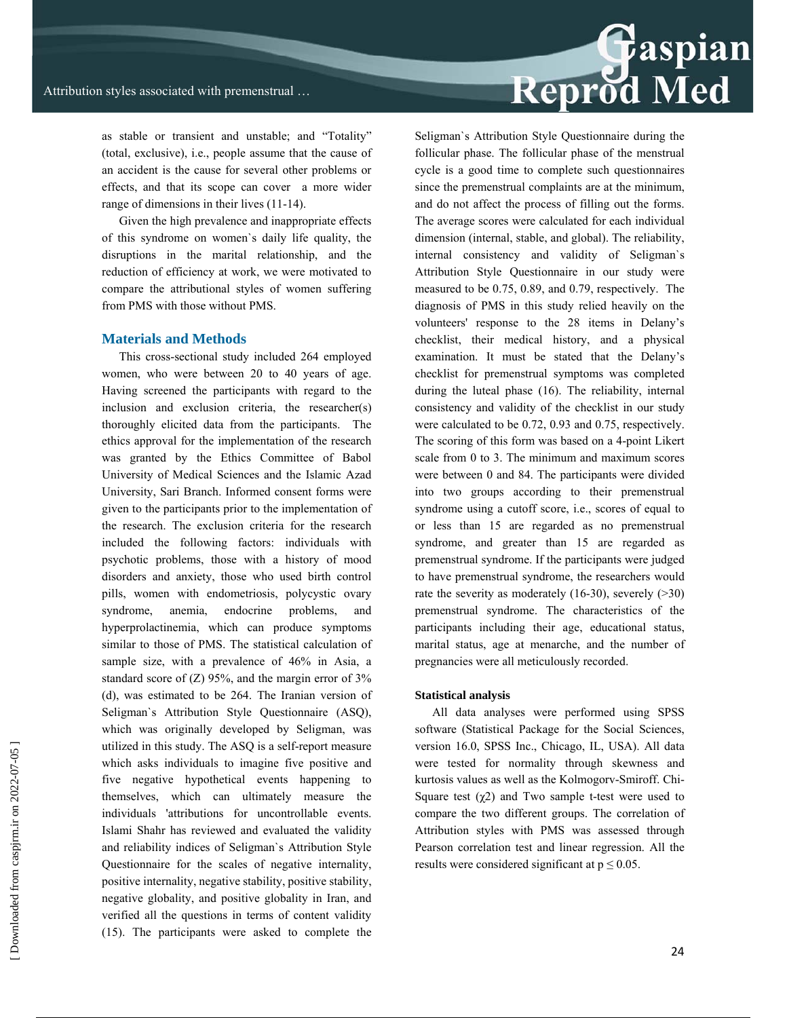as stable or transient and unstable; and "Totality" (total, exclusive), i.e., people assume that the cause of an accident is the cause for several other problems or effects, and that its scope can cover a more wider range of dimensions in their lives (11-14).

Given the high prevalence and inappropriate effects of this syndrome on women`s daily life quality, the disruptions in the marital relationship, and the reduction of efficiency at work, we were motivated to compare the attributional styles of women suffering from PMS with those without PMS.

# **Materials and Methods**

This cross-sectional study included 264 employed women, who were between 20 to 40 years of age. Having screened the participants with regard to the inclusion and exclusion criteria, the researcher(s) thoroughly elicited data from the participants. The ethics approval for the implementation of the research was granted by the Ethics Committee of Babol University of Medical Sciences and the Islamic Azad University, Sari Branch. Informed consent forms were given to the participants prior to the implementation of the research. The exclusion criteria for the research included the following factors: individuals with psychotic problems, those with a history of mood disorders and anxiety, those who used birth control pills, women with endometriosis, polycystic ovary syndrome, anemia, endocrine problems, and hyperprolactinemia, which can produce symptoms similar to those of PMS. The statistical calculation of sample size, with a prevalence of 46% in Asia, a standard score of  $(Z)$  95%, and the margin error of 3% (d), was estimated to be 264. The Iranian version of Seligman`s Attribution Style Questionnaire (ASQ), which was originally developed by Seligman, was utilized in this study. The ASQ is a self-report measure which asks individuals to imagine five positive and five negative hypothetical events happening to themselves, which can ultimately measure the individuals 'attributions for uncontrollable events. Islami Shahr has reviewed and evaluated the validity and reliability indices of Seligman`s Attribution Style Questionnaire for the scales of negative internality, positive internality, negative stability, positive stability, negative globality, and positive globality in Iran, and verified all the questions in terms of content validity (15). The participants were asked to complete the

Seligman`s Attribution Style Questionnaire during the follicular phase. The follicular phase of the menstrual cycle is a good time to complete such questionnaires since the premenstrual complaints are at the minimum, and do not affect the process of filling out the forms. The average scores were calculated for each individual dimension (internal, stable, and global). The reliability, internal consistency and validity of Seligman`s Attribution Style Questionnaire in our study were measured to be 0.75, 0.89, and 0.79, respectively. The diagnosis of PMS in this study relied heavily on the volunteers' response to the 28 items in Delany's checklist, their medical history, and a physical examination. It must be stated that the Delany's checklist for premenstrual symptoms was completed during the luteal phase (16). The reliability, internal consistency and validity of the checklist in our study were calculated to be 0.72, 0.93 and 0.75, respectively. The scoring of this form was based on a 4-point Likert scale from 0 to 3. The minimum and maximum scores were between 0 and 84. The participants were divided into two groups according to their premenstrual syndrome using a cutoff score, i.e., scores of equal to or less than 15 are regarded as no premenstrual syndrome, and greater than 15 are regarded as premenstrual syndrome. If the participants were judged to have premenstrual syndrome, the researchers would rate the severity as moderately  $(16-30)$ , severely  $(230)$ premenstrual syndrome. The characteristics of the participants including their age, educational status, marital status, age at menarche, and the number of pregnancies were all meticulously recorded.

### **Statistical analysis**

All data analyses were performed using SPSS software (Statistical Package for the Social Sciences, version 16.0, SPSS Inc., Chicago, IL, USA). All data were tested for normality through skewness and kurtosis values as well as the Kolmogorv-Smiroff. Chi-Square test  $(\chi^2)$  and Two sample t-test were used to compare the two different groups. The correlation of Attribution styles with PMS was assessed through Pearson correlation test and linear regression. All the results were considered significant at  $p \le 0.05$ .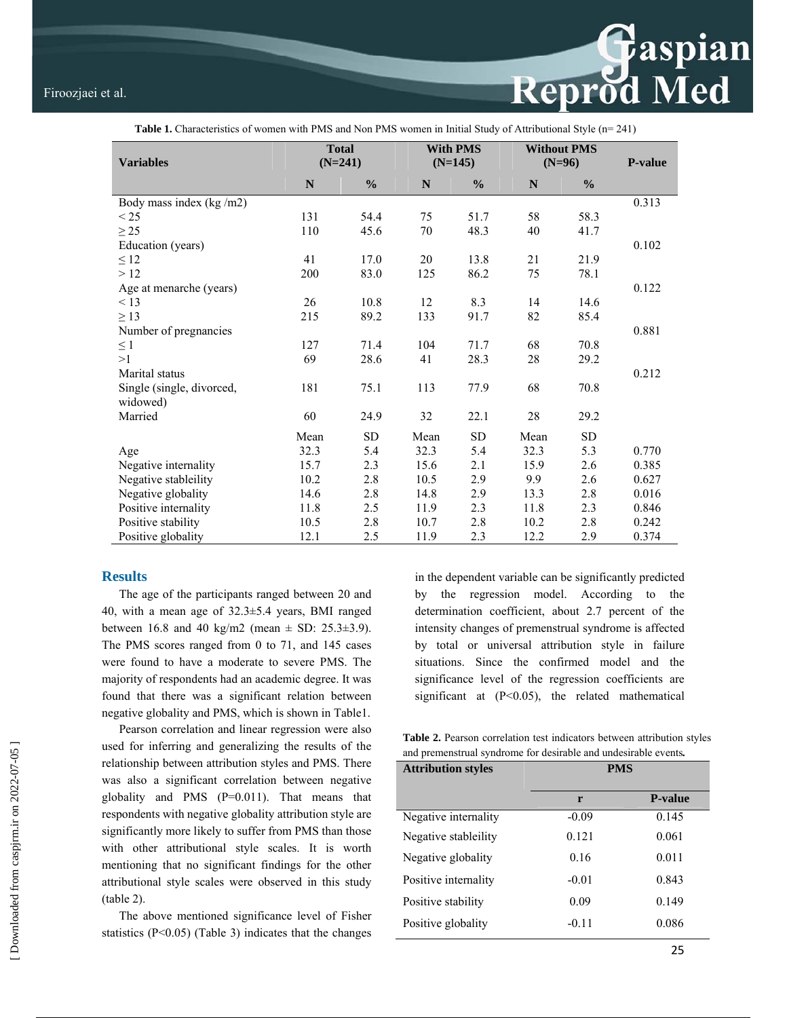

| $\ldots$                              |                                        |               |                 |                |                                |               |       |  |  |
|---------------------------------------|----------------------------------------|---------------|-----------------|----------------|--------------------------------|---------------|-------|--|--|
|                                       | <b>Total</b><br>$(N=241)$<br>$(N=145)$ |               | <b>With PMS</b> |                | <b>Without PMS</b><br>$(N=96)$ |               |       |  |  |
| <b>Variables</b>                      |                                        |               |                 | <b>P-value</b> |                                |               |       |  |  |
|                                       | N                                      | $\frac{0}{0}$ | N               | $\frac{0}{0}$  | N                              | $\frac{0}{0}$ |       |  |  |
| Body mass index (kg/m2)               |                                        |               |                 |                |                                |               | 0.313 |  |  |
| $\leq$ 25                             | 131                                    | 54.4          | 75              | 51.7           | 58                             | 58.3          |       |  |  |
| $\geq$ 25                             | 110                                    | 45.6          | 70              | 48.3           | 40                             | 41.7          |       |  |  |
| Education (years)                     |                                        |               |                 |                |                                |               | 0.102 |  |  |
| $\leq 12$                             | 41                                     | 17.0          | 20              | 13.8           | 21                             | 21.9          |       |  |  |
| >12                                   | 200                                    | 83.0          | 125             | 86.2           | 75                             | 78.1          |       |  |  |
| Age at menarche (years)               |                                        |               |                 |                |                                |               | 0.122 |  |  |
| < 13                                  | 26                                     | 10.8          | 12              | 8.3            | 14                             | 14.6          |       |  |  |
| $\geq$ 13                             | 215                                    | 89.2          | 133             | 91.7           | 82                             | 85.4          |       |  |  |
| Number of pregnancies                 |                                        |               |                 |                |                                |               | 0.881 |  |  |
| $\leq 1$                              | 127                                    | 71.4          | 104             | 71.7           | 68                             | 70.8          |       |  |  |
| >1                                    | 69                                     | 28.6          | 41              | 28.3           | $28\,$                         | 29.2          |       |  |  |
| Marital status                        |                                        |               |                 |                |                                |               | 0.212 |  |  |
| Single (single, divorced,<br>widowed) | 181                                    | 75.1          | 113             | 77.9           | 68                             | 70.8          |       |  |  |
| Married                               | 60                                     | 24.9          | 32              | 22.1           | $28\,$                         | 29.2          |       |  |  |
|                                       | Mean                                   | <b>SD</b>     | Mean            | <b>SD</b>      | Mean                           | ${\rm SD}$    |       |  |  |
| Age                                   | 32.3                                   | 5.4           | 32.3            | 5.4            | 32.3                           | 5.3           | 0.770 |  |  |
| Negative internality                  | 15.7                                   | 2.3           | 15.6            | 2.1            | 15.9                           | 2.6           | 0.385 |  |  |
| Negative stableility                  | 10.2                                   | 2.8           | 10.5            | 2.9            | 9.9                            | 2.6           | 0.627 |  |  |
| Negative globality                    | 14.6                                   | 2.8           | 14.8            | 2.9            | 13.3                           | 2.8           | 0.016 |  |  |
| Positive internality                  | 11.8                                   | 2.5           | 11.9            | 2.3            | 11.8                           | 2.3           | 0.846 |  |  |
| Positive stability                    | 10.5                                   | 2.8           | 10.7            | 2.8            | 10.2                           | 2.8           | 0.242 |  |  |
| Positive globality                    | 12.1                                   | 2.5           | 11.9            | 2.3            | 12.2                           | 2.9           | 0.374 |  |  |

# **Table 1.** Characteristics of women with PMS and Non PMS women in Initial Study of Attributional Style (n= 241)

### **Results**

The age of the participants ranged between 20 and 40, with a mean age of 32.3±5.4 years, BMI ranged between 16.8 and 40 kg/m2 (mean  $\pm$  SD: 25.3 $\pm$ 3.9). The PMS scores ranged from 0 to 71, and 145 cases were found to have a moderate to severe PMS. The majority of respondents had an academic degree. It was found that there was a significant relation between negative globality and PMS, which is shown in Table1.

Pearson correlation and linear regression were also used for inferring and generalizing the results of the relationship between attribution styles and PMS. There was also a significant correlation between negative globality and PMS (P=0.011). That means that respondents with negative globality attribution style are significantly more likely to suffer from PMS than those with other attributional style scales. It is worth mentioning that no significant findings for the other attributional style scales were observed in this study (table 2).

The above mentioned significance level of Fisher statistics  $(P<0.05)$  (Table 3) indicates that the changes in the dependent variable can be significantly predicted by the regression model. According to the determination coefficient, about 2.7 percent of the intensity changes of premenstrual syndrome is affected by total or universal attribution style in failure situations. Since the confirmed model and the significance level of the regression coefficients are significant at  $(P<0.05)$ , the related mathematical

**Table 2.** Pearson correlation test indicators between attribution styles and premenstrual syndrome for desirable and undesirable events*.* 

| <b>Attribution styles</b> | <b>PMS</b> |                |  |  |
|---------------------------|------------|----------------|--|--|
|                           | r          | <b>P-value</b> |  |  |
| Negative internality      | $-0.09$    | 0.145          |  |  |
| Negative stableility      | 0.121      | 0.061          |  |  |
| Negative globality        | 0.16       | 0.011          |  |  |
| Positive internality      | $-0.01$    | 0.843          |  |  |
| Positive stability        | 0.09       | 0.149          |  |  |
| Positive globality        | $-0.11$    | 0.086          |  |  |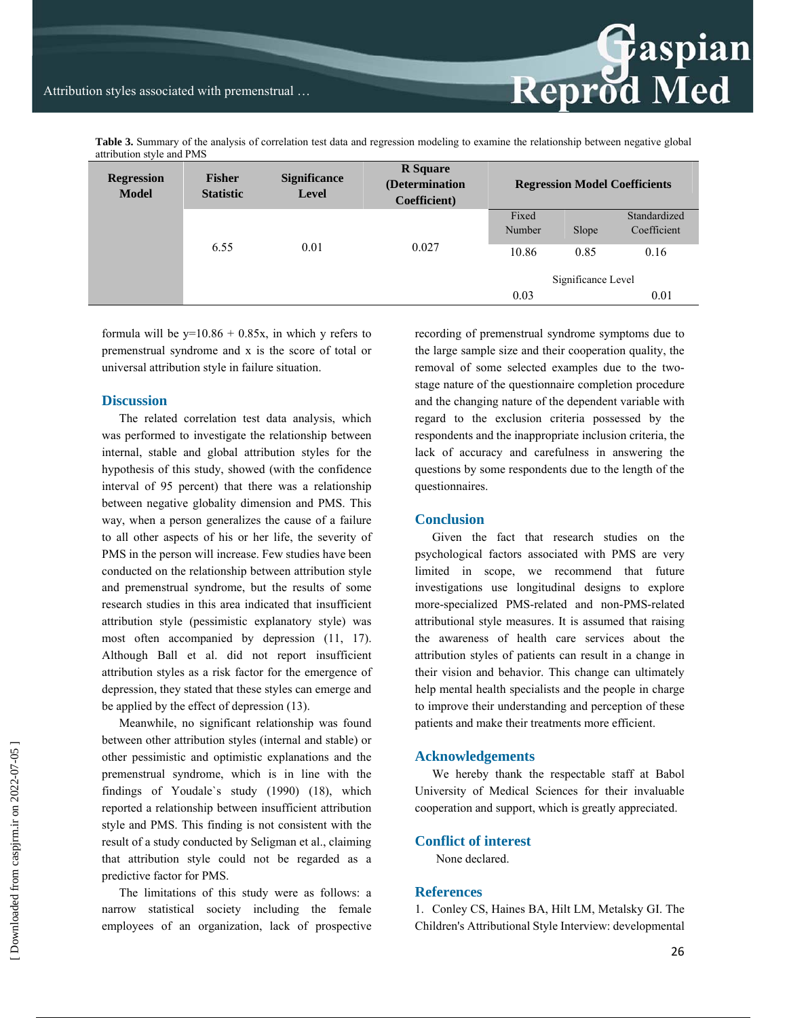**Table 3.** Summary of the analysis of correlation test data and regression modeling to examine the relationship between negative global attribution style and PMS

| <b>Regression</b><br><b>Model</b> | <b>Fisher</b><br><b>Statistic</b> | <b>Significance</b><br><b>Level</b> | <b>R</b> Square<br>(Determination<br>Coefficient) | <b>Regression Model Coefficients</b> |       |              |
|-----------------------------------|-----------------------------------|-------------------------------------|---------------------------------------------------|--------------------------------------|-------|--------------|
|                                   | 6.55                              | 0.01                                |                                                   | Fixed                                |       | Standardized |
|                                   |                                   |                                     | 0.027                                             | Number                               | Slope | Coefficient  |
|                                   |                                   |                                     |                                                   | 10.86                                | 0.85  | 0.16         |
|                                   |                                   |                                     |                                                   | Significance Level                   |       |              |
|                                   |                                   |                                     |                                                   | 0.03                                 |       | 0.01         |

formula will be  $y=10.86 + 0.85x$ , in which y refers to premenstrual syndrome and x is the score of total or universal attribution style in failure situation.

### **Discussion**

The related correlation test data analysis, which was performed to investigate the relationship between internal, stable and global attribution styles for the hypothesis of this study, showed (with the confidence interval of 95 percent) that there was a relationship between negative globality dimension and PMS. This way, when a person generalizes the cause of a failure to all other aspects of his or her life, the severity of PMS in the person will increase. Few studies have been conducted on the relationship between attribution style and premenstrual syndrome, but the results of some research studies in this area indicated that insufficient attribution style (pessimistic explanatory style) was most often accompanied by depression (11, 17). Although Ball et al. did not report insufficient attribution styles as a risk factor for the emergence of depression, they stated that these styles can emerge and be applied by the effect of depression (13).

Meanwhile, no significant relationship was found between other attribution styles (internal and stable) or other pessimistic and optimistic explanations and the premenstrual syndrome, which is in line with the findings of Youdale`s study (1990) (18), which reported a relationship between insufficient attribution style and PMS. This finding is not consistent with the result of a study conducted by Seligman et al., claiming that attribution style could not be regarded as a predictive factor for PMS.

The limitations of this study were as follows: a narrow statistical society including the female employees of an organization, lack of prospective recording of premenstrual syndrome symptoms due to the large sample size and their cooperation quality, the removal of some selected examples due to the twostage nature of the questionnaire completion procedure and the changing nature of the dependent variable with regard to the exclusion criteria possessed by the respondents and the inappropriate inclusion criteria, the lack of accuracy and carefulness in answering the questions by some respondents due to the length of the questionnaires.

**Reprod Med** 

### **Conclusion**

Given the fact that research studies on the psychological factors associated with PMS are very limited in scope, we recommend that future investigations use longitudinal designs to explore more-specialized PMS-related and non-PMS-related attributional style measures. It is assumed that raising the awareness of health care services about the attribution styles of patients can result in a change in their vision and behavior. This change can ultimately help mental health specialists and the people in charge to improve their understanding and perception of these patients and make their treatments more efficient.

#### **Acknowledgements**

We hereby thank the respectable staff at Babol University of Medical Sciences for their invaluable cooperation and support, which is greatly appreciated.

# **Conflict of interest**

None declared.

# **References**

1. Conley CS, Haines BA, Hilt LM, Metalsky GI. The Children's Attributional Style Interview: developmental